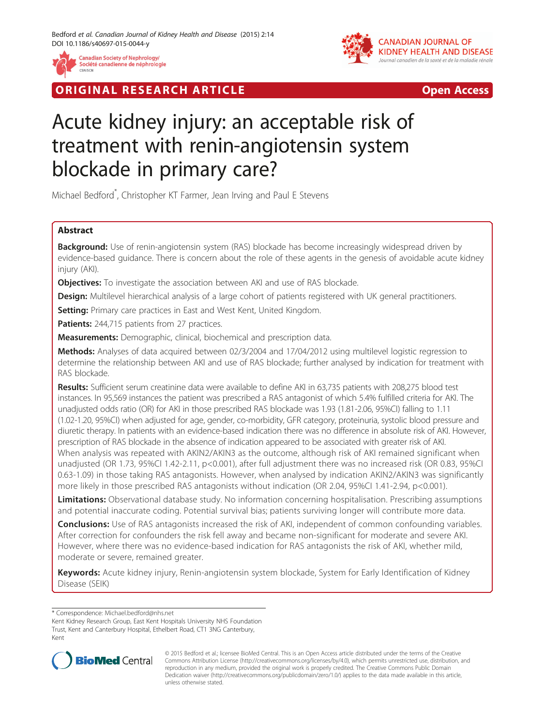

**RIGINAL RESEARCH ARTICLE CONSUMING ACCESS** 



# Acute kidney injury: an acceptable risk of treatment with renin-angiotensin system blockade in primary care?

Michael Bedford\* , Christopher KT Farmer, Jean Irving and Paul E Stevens

# Abstract

Background: Use of renin-angiotensin system (RAS) blockade has become increasingly widespread driven by evidence-based guidance. There is concern about the role of these agents in the genesis of avoidable acute kidney injury (AKI).

**Objectives:** To investigate the association between AKI and use of RAS blockade.

**Design:** Multilevel hierarchical analysis of a large cohort of patients registered with UK general practitioners.

Setting: Primary care practices in East and West Kent, United Kingdom.

Patients: 244,715 patients from 27 practices.

**Measurements:** Demographic, clinical, biochemical and prescription data.

Methods: Analyses of data acquired between 02/3/2004 and 17/04/2012 using multilevel logistic regression to determine the relationship between AKI and use of RAS blockade; further analysed by indication for treatment with RAS blockade.

Results: Sufficient serum creatinine data were available to define AKI in 63,735 patients with 208,275 blood test instances. In 95,569 instances the patient was prescribed a RAS antagonist of which 5.4% fulfilled criteria for AKI. The unadjusted odds ratio (OR) for AKI in those prescribed RAS blockade was 1.93 (1.81-2.06, 95%CI) falling to 1.11 (1.02-1.20, 95%CI) when adjusted for age, gender, co-morbidity, GFR category, proteinuria, systolic blood pressure and diuretic therapy. In patients with an evidence-based indication there was no difference in absolute risk of AKI. However, prescription of RAS blockade in the absence of indication appeared to be associated with greater risk of AKI. When analysis was repeated with AKIN2/AKIN3 as the outcome, although risk of AKI remained significant when unadjusted (OR 1.73, 95%CI 1.42-2.11, p<0.001), after full adjustment there was no increased risk (OR 0.83, 95%CI 0.63-1.09) in those taking RAS antagonists. However, when analysed by indication AKIN2/AKIN3 was significantly more likely in those prescribed RAS antagonists without indication (OR 2.04, 95%CI 1.41-2.94, p<0.001).

Limitations: Observational database study. No information concerning hospitalisation. Prescribing assumptions and potential inaccurate coding. Potential survival bias; patients surviving longer will contribute more data.

**Conclusions:** Use of RAS antagonists increased the risk of AKI, independent of common confounding variables. After correction for confounders the risk fell away and became non-significant for moderate and severe AKI. However, where there was no evidence-based indication for RAS antagonists the risk of AKI, whether mild, moderate or severe, remained greater.

Keywords: Acute kidney injury, Renin-angiotensin system blockade, System for Early Identification of Kidney Disease (SEIK)

\* Correspondence: [Michael.bedford@nhs.net](mailto:Michael.bedford@nhs.net)

Kent Kidney Research Group, East Kent Hospitals University NHS Foundation Trust, Kent and Canterbury Hospital, Ethelbert Road, CT1 3NG Canterbury, Kent



© 2015 Bedford et al.; licensee BioMed Central. This is an Open Access article distributed under the terms of the Creative Commons Attribution License [\(http://creativecommons.org/licenses/by/4.0\)](http://creativecommons.org/licenses/by/4.0), which permits unrestricted use, distribution, and reproduction in any medium, provided the original work is properly credited. The Creative Commons Public Domain Dedication waiver [\(http://creativecommons.org/publicdomain/zero/1.0/](http://creativecommons.org/publicdomain/zero/1.0/)) applies to the data made available in this article, unless otherwise stated.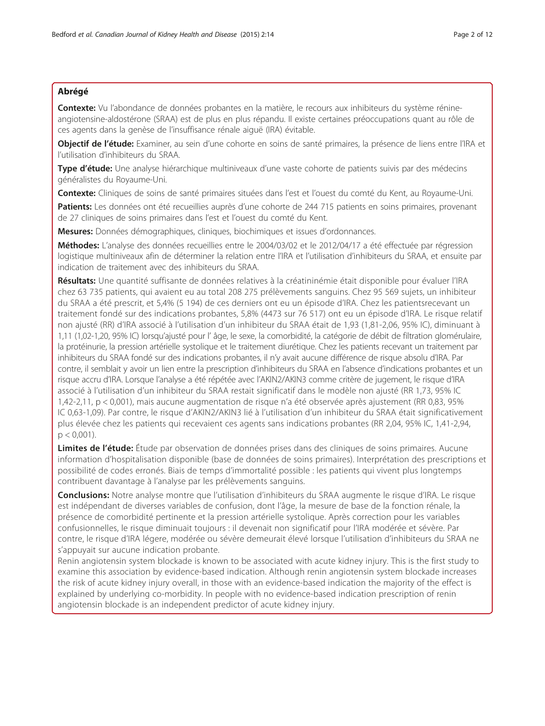# Abrégé

Contexte: Vu l'abondance de données probantes en la matière, le recours aux inhibiteurs du système rénineangiotensine-aldostérone (SRAA) est de plus en plus répandu. Il existe certaines préoccupations quant au rôle de ces agents dans la genèse de l'insuffisance rénale aiguë (IRA) évitable.

Objectif de l'étude: Examiner, au sein d'une cohorte en soins de santé primaires, la présence de liens entre l'IRA et l'utilisation d'inhibiteurs du SRAA.

Type d'étude: Une analyse hiérarchique multiniveaux d'une vaste cohorte de patients suivis par des médecins généralistes du Royaume-Uni.

Contexte: Cliniques de soins de santé primaires situées dans l'est et l'ouest du comté du Kent, au Royaume-Uni.

Patients: Les données ont été recueillies auprès d'une cohorte de 244 715 patients en soins primaires, provenant de 27 cliniques de soins primaires dans l'est et l'ouest du comté du Kent.

Mesures: Données démographiques, cliniques, biochimiques et issues d'ordonnances.

Méthodes: L'analyse des données recueillies entre le 2004/03/02 et le 2012/04/17 a été effectuée par régression logistique multiniveaux afin de déterminer la relation entre l'IRA et l'utilisation d'inhibiteurs du SRAA, et ensuite par indication de traitement avec des inhibiteurs du SRAA.

Résultats: Une quantité suffisante de données relatives à la créatininémie était disponible pour évaluer l'IRA chez 63 735 patients, qui avaient eu au total 208 275 prélèvements sanguins. Chez 95 569 sujets, un inhibiteur du SRAA a été prescrit, et 5,4% (5 194) de ces derniers ont eu un épisode d'IRA. Chez les patientsrecevant un traitement fondé sur des indications probantes, 5,8% (4473 sur 76 517) ont eu un épisode d'IRA. Le risque relatif non ajusté (RR) d'IRA associé à l'utilisation d'un inhibiteur du SRAA était de 1,93 (1,81-2,06, 95% IC), diminuant à 1,11 (1,02-1,20, 95% IC) lorsqu'ajusté pour l' âge, le sexe, la comorbidité, la catégorie de débit de filtration glomérulaire, la protéinurie, la pression artérielle systolique et le traitement diurétique. Chez les patients recevant un traitement par inhibiteurs du SRAA fondé sur des indications probantes, il n'y avait aucune différence de risque absolu d'IRA. Par contre, il semblait y avoir un lien entre la prescription d'inhibiteurs du SRAA en l'absence d'indications probantes et un risque accru d'IRA. Lorsque l'analyse a été répétée avec l'AKIN2/AKIN3 comme critère de jugement, le risque d'IRA associé à l'utilisation d'un inhibiteur du SRAA restait significatif dans le modèle non ajusté (RR 1,73, 95% IC 1,42-2,11, p < 0,001), mais aucune augmentation de risque n'a été observée après ajustement (RR 0,83, 95% IC 0,63-1,09). Par contre, le risque d'AKIN2/AKIN3 lié à l'utilisation d'un inhibiteur du SRAA était significativement plus élevée chez les patients qui recevaient ces agents sans indications probantes (RR 2,04, 95% IC, 1,41-2,94,  $p < 0.001$ ).

Limites de l'étude: Étude par observation de données prises dans des cliniques de soins primaires. Aucune information d'hospitalisation disponible (base de données de soins primaires). Interprétation des prescriptions et possibilité de codes erronés. Biais de temps d'immortalité possible : les patients qui vivent plus longtemps contribuent davantage à l'analyse par les prélèvements sanguins.

Conclusions: Notre analyse montre que l'utilisation d'inhibiteurs du SRAA augmente le risque d'IRA. Le risque est indépendant de diverses variables de confusion, dont l'âge, la mesure de base de la fonction rénale, la présence de comorbidité pertinente et la pression artérielle systolique. Après correction pour les variables confusionnelles, le risque diminuait toujours : il devenait non significatif pour l'IRA modérée et sévère. Par contre, le risque d'IRA légere, modérée ou sévère demeurait élevé lorsque l'utilisation d'inhibiteurs du SRAA ne s'appuyait sur aucune indication probante.

Renin angiotensin system blockade is known to be associated with acute kidney injury. This is the first study to examine this association by evidence-based indication. Although renin angiotensin system blockade increases the risk of acute kidney injury overall, in those with an evidence-based indication the majority of the effect is explained by underlying co-morbidity. In people with no evidence-based indication prescription of renin angiotensin blockade is an independent predictor of acute kidney injury.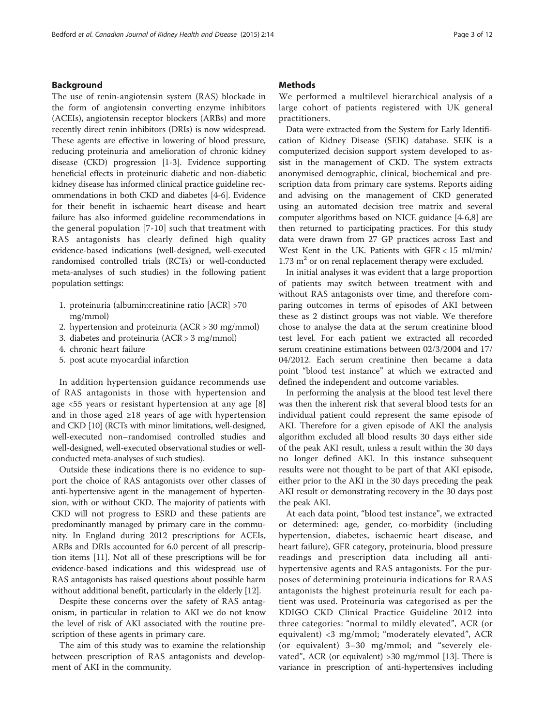### Background

The use of renin-angiotensin system (RAS) blockade in the form of angiotensin converting enzyme inhibitors (ACEIs), angiotensin receptor blockers (ARBs) and more recently direct renin inhibitors (DRIs) is now widespread. These agents are effective in lowering of blood pressure, reducing proteinuria and amelioration of chronic kidney disease (CKD) progression [\[1](#page-10-0)-[3](#page-10-0)]. Evidence supporting beneficial effects in proteinuric diabetic and non-diabetic kidney disease has informed clinical practice guideline recommendations in both CKD and diabetes [\[4](#page-10-0)-[6](#page-10-0)]. Evidence for their benefit in ischaemic heart disease and heart failure has also informed guideline recommendations in the general population [\[7-10\]](#page-10-0) such that treatment with RAS antagonists has clearly defined high quality evidence-based indications (well-designed, well-executed randomised controlled trials (RCTs) or well-conducted meta-analyses of such studies) in the following patient population settings:

- 1. proteinuria (albumin:creatinine ratio [ACR] >70 mg/mmol)
- 2. hypertension and proteinuria (ACR > 30 mg/mmol)
- 3. diabetes and proteinuria (ACR > 3 mg/mmol)
- 4. chronic heart failure
- 5. post acute myocardial infarction

In addition hypertension guidance recommends use of RAS antagonists in those with hypertension and age <55 years or resistant hypertension at any age [\[8](#page-10-0)] and in those aged  $\geq 18$  years of age with hypertension and CKD [\[10\]](#page-10-0) (RCTs with minor limitations, well-designed, well-executed non–randomised controlled studies and well-designed, well-executed observational studies or wellconducted meta-analyses of such studies).

Outside these indications there is no evidence to support the choice of RAS antagonists over other classes of anti-hypertensive agent in the management of hypertension, with or without CKD. The majority of patients with CKD will not progress to ESRD and these patients are predominantly managed by primary care in the community. In England during 2012 prescriptions for ACEIs, ARBs and DRIs accounted for 6.0 percent of all prescription items [\[11\]](#page-10-0). Not all of these prescriptions will be for evidence-based indications and this widespread use of RAS antagonists has raised questions about possible harm without additional benefit, particularly in the elderly [[12](#page-10-0)].

Despite these concerns over the safety of RAS antagonism, in particular in relation to AKI we do not know the level of risk of AKI associated with the routine prescription of these agents in primary care.

The aim of this study was to examine the relationship between prescription of RAS antagonists and development of AKI in the community.

## **Methods**

We performed a multilevel hierarchical analysis of a large cohort of patients registered with UK general practitioners.

Data were extracted from the System for Early Identification of Kidney Disease (SEIK) database. SEIK is a computerized decision support system developed to assist in the management of CKD. The system extracts anonymised demographic, clinical, biochemical and prescription data from primary care systems. Reports aiding and advising on the management of CKD generated using an automated decision tree matrix and several computer algorithms based on NICE guidance [\[4-6,8](#page-10-0)] are then returned to participating practices. For this study data were drawn from 27 GP practices across East and West Kent in the UK. Patients with GFR < 15 ml/min/ 1.73  $m<sup>2</sup>$  or on renal replacement therapy were excluded.

In initial analyses it was evident that a large proportion of patients may switch between treatment with and without RAS antagonists over time, and therefore comparing outcomes in terms of episodes of AKI between these as 2 distinct groups was not viable. We therefore chose to analyse the data at the serum creatinine blood test level. For each patient we extracted all recorded serum creatinine estimations between 02/3/2004 and 17/ 04/2012. Each serum creatinine then became a data point "blood test instance" at which we extracted and defined the independent and outcome variables.

In performing the analysis at the blood test level there was then the inherent risk that several blood tests for an individual patient could represent the same episode of AKI. Therefore for a given episode of AKI the analysis algorithm excluded all blood results 30 days either side of the peak AKI result, unless a result within the 30 days no longer defined AKI. In this instance subsequent results were not thought to be part of that AKI episode, either prior to the AKI in the 30 days preceding the peak AKI result or demonstrating recovery in the 30 days post the peak AKI.

At each data point, "blood test instance", we extracted or determined: age, gender, co-morbidity (including hypertension, diabetes, ischaemic heart disease, and heart failure), GFR category, proteinuria, blood pressure readings and prescription data including all antihypertensive agents and RAS antagonists. For the purposes of determining proteinuria indications for RAAS antagonists the highest proteinuria result for each patient was used. Proteinuria was categorised as per the KDIGO CKD Clinical Practice Guideline 2012 into three categories: "normal to mildly elevated", ACR (or equivalent) <3 mg/mmol; "moderately elevated", ACR (or equivalent) 3–30 mg/mmol; and "severely elevated", ACR (or equivalent) >30 mg/mmol [[13\]](#page-10-0). There is variance in prescription of anti-hypertensives including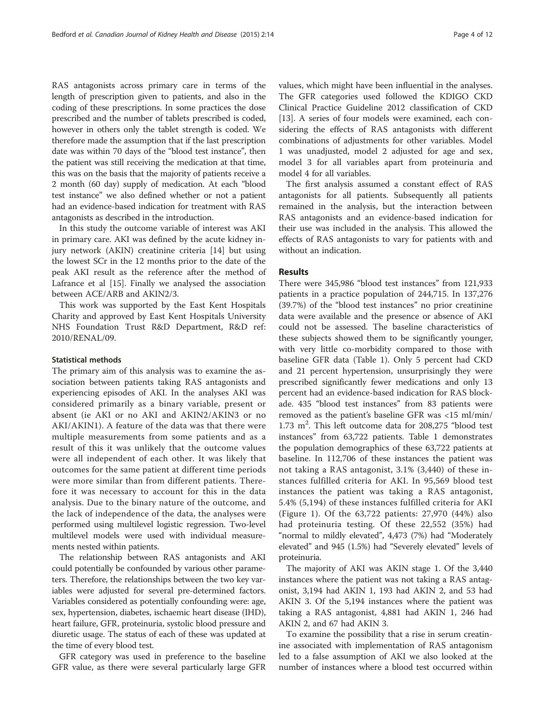RAS antagonists across primary care in terms of the length of prescription given to patients, and also in the coding of these prescriptions. In some practices the dose prescribed and the number of tablets prescribed is coded, however in others only the tablet strength is coded. We therefore made the assumption that if the last prescription date was within 70 days of the "blood test instance", then the patient was still receiving the medication at that time, this was on the basis that the majority of patients receive a 2 month (60 day) supply of medication. At each "blood test instance" we also defined whether or not a patient had an evidence-based indication for treatment with RAS antagonists as described in the introduction.

In this study the outcome variable of interest was AKI in primary care. AKI was defined by the acute kidney injury network (AKIN) creatinine criteria [[14\]](#page-10-0) but using the lowest SCr in the 12 months prior to the date of the peak AKI result as the reference after the method of Lafrance et al [[15\]](#page-10-0). Finally we analysed the association between ACE/ARB and AKIN2/3.

This work was supported by the East Kent Hospitals Charity and approved by East Kent Hospitals University NHS Foundation Trust R&D Department, R&D ref: 2010/RENAL/09.

#### Statistical methods

The primary aim of this analysis was to examine the association between patients taking RAS antagonists and experiencing episodes of AKI. In the analyses AKI was considered primarily as a binary variable, present or absent (ie AKI or no AKI and AKIN2/AKIN3 or no AKI/AKIN1). A feature of the data was that there were multiple measurements from some patients and as a result of this it was unlikely that the outcome values were all independent of each other. It was likely that outcomes for the same patient at different time periods were more similar than from different patients. Therefore it was necessary to account for this in the data analysis. Due to the binary nature of the outcome, and the lack of independence of the data, the analyses were performed using multilevel logistic regression. Two-level multilevel models were used with individual measurements nested within patients.

The relationship between RAS antagonists and AKI could potentially be confounded by various other parameters. Therefore, the relationships between the two key variables were adjusted for several pre-determined factors. Variables considered as potentially confounding were: age, sex, hypertension, diabetes, ischaemic heart disease (IHD), heart failure, GFR, proteinuria, systolic blood pressure and diuretic usage. The status of each of these was updated at the time of every blood test.

GFR category was used in preference to the baseline GFR value, as there were several particularly large GFR values, which might have been influential in the analyses. The GFR categories used followed the KDIGO CKD Clinical Practice Guideline 2012 classification of CKD [[13\]](#page-10-0). A series of four models were examined, each considering the effects of RAS antagonists with different combinations of adjustments for other variables. Model 1 was unadjusted, model 2 adjusted for age and sex, model 3 for all variables apart from proteinuria and model 4 for all variables.

The first analysis assumed a constant effect of RAS antagonists for all patients. Subsequently all patients remained in the analysis, but the interaction between RAS antagonists and an evidence-based indication for their use was included in the analysis. This allowed the effects of RAS antagonists to vary for patients with and without an indication.

# Results

There were 345,986 "blood test instances" from 121,933 patients in a practice population of 244,715. In 137,276 (39.7%) of the "blood test instances" no prior creatinine data were available and the presence or absence of AKI could not be assessed. The baseline characteristics of these subjects showed them to be significantly younger, with very little co-morbidity compared to those with baseline GFR data (Table [1\)](#page-4-0). Only 5 percent had CKD and 21 percent hypertension, unsurprisingly they were prescribed significantly fewer medications and only 13 percent had an evidence-based indication for RAS blockade. 435 "blood test instances" from 83 patients were removed as the patient's baseline GFR was <15 ml/min/ 1.73 m<sup>2</sup>. This left outcome data for 208,275 "blood test instances" from 63,722 patients. Table [1](#page-4-0) demonstrates the population demographics of these 63,722 patients at baseline. In 112,706 of these instances the patient was not taking a RAS antagonist, 3.1% (3,440) of these instances fulfilled criteria for AKI. In 95,569 blood test instances the patient was taking a RAS antagonist, 5.4% (5,194) of these instances fulfilled criteria for AKI (Figure [1\)](#page-5-0). Of the 63,722 patients: 27,970 (44%) also had proteinuria testing. Of these 22,552 (35%) had "normal to mildly elevated", 4,473 (7%) had "Moderately elevated" and 945 (1.5%) had "Severely elevated" levels of proteinuria.

The majority of AKI was AKIN stage 1. Of the 3,440 instances where the patient was not taking a RAS antagonist, 3,194 had AKIN 1, 193 had AKIN 2, and 53 had AKIN 3. Of the 5,194 instances where the patient was taking a RAS antagonist, 4,881 had AKIN 1, 246 had AKIN 2, and 67 had AKIN 3.

To examine the possibility that a rise in serum creatinine associated with implementation of RAS antagonism led to a false assumption of AKI we also looked at the number of instances where a blood test occurred within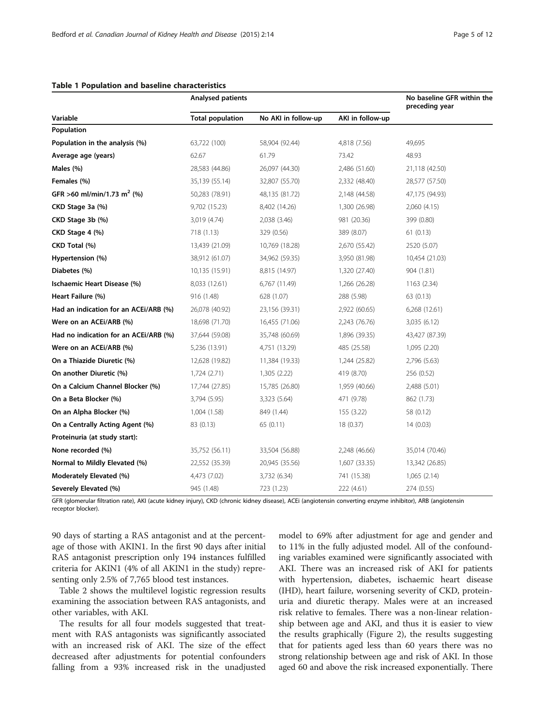|                                        | Analysed patients       |                     |                  | No baseline GFR within the<br>preceding year |
|----------------------------------------|-------------------------|---------------------|------------------|----------------------------------------------|
| Variable                               | <b>Total population</b> | No AKI in follow-up | AKI in follow-up |                                              |
| Population                             |                         |                     |                  |                                              |
| Population in the analysis (%)         | 63,722 (100)            | 58,904 (92.44)      | 4,818 (7.56)     | 49,695                                       |
| Average age (years)                    | 62.67                   | 61.79               | 73.42            | 48.93                                        |
| Males (%)                              | 28,583 (44.86)          | 26,097 (44.30)      | 2,486 (51.60)    | 21,118 (42.50)                               |
| Females (%)                            | 35,139 (55.14)          | 32,807 (55.70)      | 2,332 (48.40)    | 28,577 (57.50)                               |
| GFR >60 ml/min/1.73 m <sup>2</sup> (%) | 50,283 (78.91)          | 48,135 (81.72)      | 2,148 (44.58)    | 47,175 (94.93)                               |
| CKD Stage 3a (%)                       | 9,702 (15.23)           | 8,402 (14.26)       | 1,300 (26.98)    | 2,060 (4.15)                                 |
| CKD Stage 3b (%)                       | 3,019 (4.74)            | 2,038 (3.46)        | 981 (20.36)      | 399 (0.80)                                   |
| CKD Stage 4 (%)                        | 718 (1.13)              | 329 (0.56)          | 389 (8.07)       | 61(0.13)                                     |
| CKD Total (%)                          | 13,439 (21.09)          | 10,769 (18.28)      | 2,670 (55.42)    | 2520 (5.07)                                  |
| Hypertension (%)                       | 38,912 (61.07)          | 34,962 (59.35)      | 3,950 (81.98)    | 10,454 (21.03)                               |
| Diabetes (%)                           | 10,135 (15.91)          | 8,815 (14.97)       | 1,320 (27.40)    | 904 (1.81)                                   |
| Ischaemic Heart Disease (%)            | 8,033 (12.61)           | 6,767 (11.49)       | 1,266 (26.28)    | 1163 (2.34)                                  |
| Heart Failure (%)                      | 916 (1.48)              | 628 (1.07)          | 288 (5.98)       | 63 (0.13)                                    |
| Had an indication for an ACEi/ARB (%)  | 26,078 (40.92)          | 23,156 (39.31)      | 2,922 (60.65)    | 6,268 (12.61)                                |
| Were on an ACEI/ARB (%)                | 18,698 (71.70)          | 16,455 (71.06)      | 2,243 (76.76)    | 3,035 (6.12)                                 |
| Had no indication for an ACEI/ARB (%)  | 37,644 (59.08)          | 35,748 (60.69)      | 1,896 (39.35)    | 43,427 (87.39)                               |
| Were on an ACEi/ARB (%)                | 5,236 (13.91)           | 4,751 (13.29)       | 485 (25.58)      | 1,095 (2.20)                                 |
| On a Thiazide Diuretic (%)             | 12,628 (19.82)          | 11,384 (19.33)      | 1,244 (25.82)    | 2,796 (5.63)                                 |
| On another Diuretic (%)                | 1,724 (2.71)            | 1,305 (2.22)        | 419 (8.70)       | 256 (0.52)                                   |
| On a Calcium Channel Blocker (%)       | 17,744 (27.85)          | 15,785 (26.80)      | 1,959 (40.66)    | 2,488 (5.01)                                 |
| On a Beta Blocker (%)                  | 3,794 (5.95)            | 3,323 (5.64)        | 471 (9.78)       | 862 (1.73)                                   |
| On an Alpha Blocker (%)                | 1,004 (1.58)            | 849 (1.44)          | 155 (3.22)       | 58 (0.12)                                    |
| On a Centrally Acting Agent (%)        | 83 (0.13)               | 65 (0.11)           | 18 (0.37)        | 14(0.03)                                     |
| Proteinuria (at study start):          |                         |                     |                  |                                              |
| None recorded (%)                      | 35,752 (56.11)          | 33,504 (56.88)      | 2,248 (46.66)    | 35,014 (70.46)                               |
| Normal to Mildly Elevated (%)          | 22,552 (35.39)          | 20,945 (35.56)      | 1,607 (33.35)    | 13,342 (26.85)                               |
| Moderately Elevated (%)                | 4,473 (7.02)            | 3,732 (6.34)        | 741 (15.38)      | 1,065(2.14)                                  |
| Severely Elevated (%)                  | 945 (1.48)              | 723 (1.23)          | 222 (4.61)       | 274 (0.55)                                   |

#### <span id="page-4-0"></span>Table 1 Population and baseline characteristics

GFR (glomerular filtration rate), AKI (acute kidney injury), CKD (chronic kidney disease), ACEi (angiotensin converting enzyme inhibitor), ARB (angiotensin receptor blocker).

90 days of starting a RAS antagonist and at the percentage of those with AKIN1. In the first 90 days after initial RAS antagonist prescription only 194 instances fulfilled criteria for AKIN1 (4% of all AKIN1 in the study) representing only 2.5% of 7,765 blood test instances.

Table [2](#page-6-0) shows the multilevel logistic regression results examining the association between RAS antagonists, and other variables, with AKI.

The results for all four models suggested that treatment with RAS antagonists was significantly associated with an increased risk of AKI. The size of the effect decreased after adjustments for potential confounders falling from a 93% increased risk in the unadjusted

model to 69% after adjustment for age and gender and to 11% in the fully adjusted model. All of the confounding variables examined were significantly associated with AKI. There was an increased risk of AKI for patients with hypertension, diabetes, ischaemic heart disease (IHD), heart failure, worsening severity of CKD, proteinuria and diuretic therapy. Males were at an increased risk relative to females. There was a non-linear relationship between age and AKI, and thus it is easier to view the results graphically (Figure [2\)](#page-7-0), the results suggesting that for patients aged less than 60 years there was no strong relationship between age and risk of AKI. In those aged 60 and above the risk increased exponentially. There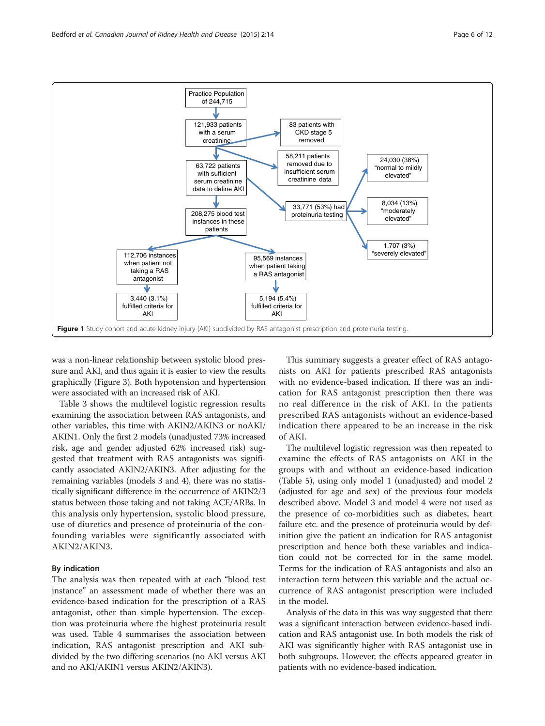<span id="page-5-0"></span>

was a non-linear relationship between systolic blood pressure and AKI, and thus again it is easier to view the results graphically (Figure [3](#page-7-0)). Both hypotension and hypertension were associated with an increased risk of AKI.

Table [3](#page-8-0) shows the multilevel logistic regression results examining the association between RAS antagonists, and other variables, this time with AKIN2/AKIN3 or noAKI/ AKIN1. Only the first 2 models (unadjusted 73% increased risk, age and gender adjusted 62% increased risk) suggested that treatment with RAS antagonists was significantly associated AKIN2/AKIN3. After adjusting for the remaining variables (models 3 and 4), there was no statistically significant difference in the occurrence of AKIN2/3 status between those taking and not taking ACE/ARBs. In this analysis only hypertension, systolic blood pressure, use of diuretics and presence of proteinuria of the confounding variables were significantly associated with AKIN2/AKIN3.

## By indication

The analysis was then repeated with at each "blood test instance" an assessment made of whether there was an evidence-based indication for the prescription of a RAS antagonist, other than simple hypertension. The exception was proteinuria where the highest proteinuria result was used. Table [4](#page-8-0) summarises the association between indication, RAS antagonist prescription and AKI subdivided by the two differing scenarios (no AKI versus AKI and no AKI/AKIN1 versus AKIN2/AKIN3).

This summary suggests a greater effect of RAS antagonists on AKI for patients prescribed RAS antagonists with no evidence-based indication. If there was an indication for RAS antagonist prescription then there was no real difference in the risk of AKI. In the patients prescribed RAS antagonists without an evidence-based indication there appeared to be an increase in the risk of AKI.

The multilevel logistic regression was then repeated to examine the effects of RAS antagonists on AKI in the groups with and without an evidence-based indication (Table [5\)](#page-9-0), using only model 1 (unadjusted) and model 2 (adjusted for age and sex) of the previous four models described above. Model 3 and model 4 were not used as the presence of co-morbidities such as diabetes, heart failure etc. and the presence of proteinuria would by definition give the patient an indication for RAS antagonist prescription and hence both these variables and indication could not be corrected for in the same model. Terms for the indication of RAS antagonists and also an interaction term between this variable and the actual occurrence of RAS antagonist prescription were included in the model.

Analysis of the data in this was way suggested that there was a significant interaction between evidence-based indication and RAS antagonist use. In both models the risk of AKI was significantly higher with RAS antagonist use in both subgroups. However, the effects appeared greater in patients with no evidence-based indication.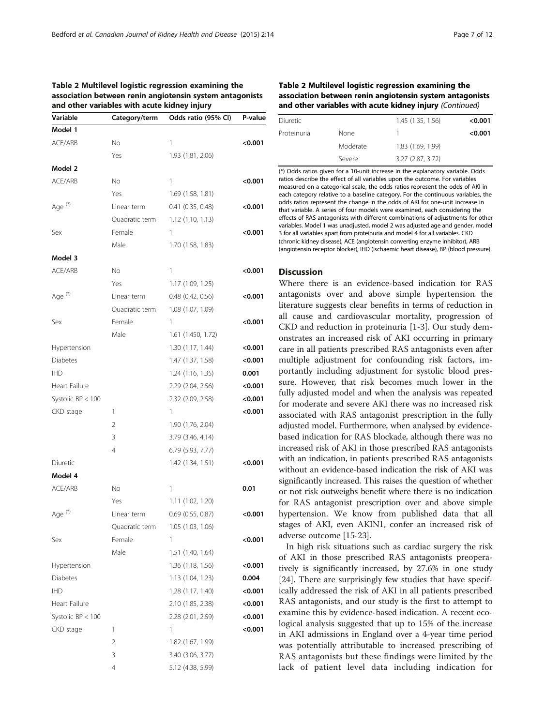<span id="page-6-0"></span>Table 2 Multilevel logistic regression examining the

|                    | and other variables with acute kidney injury | association between renin angiotensin system antagonists |         |
|--------------------|----------------------------------------------|----------------------------------------------------------|---------|
| Variable           | Category/term                                | Odds ratio (95% CI)                                      | P-value |
| Model 1            |                                              |                                                          |         |
| ACE/ARB            | No                                           | 1                                                        | <0.001  |
|                    | Yes                                          | 1.93 (1.81, 2.06)                                        |         |
| Model 2            |                                              |                                                          |         |
| ACE/ARB            | No                                           | 1                                                        | <0.001  |
|                    | Yes                                          | 1.69 (1.58, 1.81)                                        |         |
| Age <sup>(*)</sup> | Linear term                                  | 0.41(0.35, 0.48)                                         | < 0.001 |
|                    | Quadratic term                               | 1.12(1.10, 1.13)                                         |         |
| Sex                | Female                                       | 1                                                        | <0.001  |
|                    | Male                                         | 1.70 (1.58, 1.83)                                        |         |
| Model 3            |                                              |                                                          |         |
| ACE/ARB            | No                                           | 1                                                        | < 0.001 |
|                    | Yes                                          | 1.17 (1.09, 1.25)                                        |         |
| Age <sup>(*)</sup> | Linear term                                  | 0.48 (0.42, 0.56)                                        | < 0.001 |
|                    | Quadratic term                               | 1.08 (1.07, 1.09)                                        |         |
| Sex                | Female                                       | 1                                                        | < 0.001 |
|                    | Male                                         | 1.61 (1.450, 1.72)                                       |         |
| Hypertension       |                                              | 1.30 (1.17, 1.44)                                        | < 0.001 |
| <b>Diabetes</b>    |                                              | 1.47 (1.37, 1.58)                                        | < 0.001 |
| <b>IHD</b>         |                                              | 1.24 (1.16, 1.35)                                        | 0.001   |
| Heart Failure      |                                              | 2.29 (2.04, 2.56)                                        | < 0.001 |
| Systolic BP < 100  |                                              | 2.32 (2.09, 2.58)                                        | < 0.001 |
| CKD stage          | 1                                            | 1                                                        | < 0.001 |
|                    | 2                                            | 1.90 (1.76, 2.04)                                        |         |
|                    | 3                                            | 3.79 (3.46, 4.14)                                        |         |
|                    | 4                                            | 6.79 (5.93, 7.77)                                        |         |
| Diuretic           |                                              | 1.42 (1.34, 1.51)                                        | < 0.001 |
| Model 4            |                                              |                                                          |         |
| ACE/ARB            | Νo                                           | 1                                                        | 0.01    |
|                    | Yes                                          | 1.11 (1.02, 1.20)                                        |         |
| Age <sup>(*)</sup> | Linear term                                  | $0.69$ $(0.55, 0.87)$                                    | <0.001  |
|                    | Quadratic term                               | 1.05 (1.03, 1.06)                                        |         |
| Sex                | Female                                       | 1                                                        | <0.001  |
|                    | Male                                         | 1.51 (1.40, 1.64)                                        |         |
| Hypertension       |                                              | 1.36 (1.18, 1.56)                                        | <0.001  |
|                    |                                              |                                                          |         |
| Diabetes           |                                              | 1.13(1.04, 1.23)<br>1.28 (1.17, 1.40)                    | 0.004   |
| <b>IHD</b>         |                                              |                                                          | < 0.001 |
| Heart Failure      |                                              | 2.10 (1.85, 2.38)                                        | < 0.001 |
| Systolic BP < 100  |                                              | 2.28 (2.01, 2.59)                                        | < 0.001 |
| CKD stage          | 1                                            | 1                                                        | <0.001  |
|                    | 2                                            | 1.82 (1.67, 1.99)                                        |         |
|                    | 3                                            | 3.40 (3.06, 3.77)                                        |         |
|                    | 4                                            | 5.12 (4.38, 5.99)                                        |         |

# Table 2 Multilevel logistic regression examining the association between renin angiotensin system antagonists and other variables with acute kidney injury (Continued)

|          | 1.45 (1.35, 1.56) | < 0.001 |
|----------|-------------------|---------|
| None     |                   | < 0.001 |
| Moderate | 1.83 (1.69, 1.99) |         |
| Severe   | 3.27 (2.87, 3.72) |         |
|          |                   |         |

(\*) Odds ratios given for a 10-unit increase in the explanatory variable. Odds ratios describe the effect of all variables upon the outcome. For variables measured on a categorical scale, the odds ratios represent the odds of AKI in each category relative to a baseline category. For the continuous variables, the odds ratios represent the change in the odds of AKI for one-unit increase in that variable. A series of four models were examined, each considering the effects of RAS antagonists with different combinations of adjustments for other variables. Model 1 was unadjusted, model 2 was adjusted age and gender, model 3 for all variables apart from proteinuria and model 4 for all variables. CKD (chronic kidney disease), ACE (angiotensin converting enzyme inhibitor), ARB (angiotensin receptor blocker), IHD (ischaemic heart disease), BP (blood pressure).

# Discussion

Where there is an evidence-based indication for RAS antagonists over and above simple hypertension the literature suggests clear benefits in terms of reduction in all cause and cardiovascular mortality, progression of CKD and reduction in proteinuria [[1-3](#page-10-0)]. Our study demonstrates an increased risk of AKI occurring in primary care in all patients prescribed RAS antagonists even after multiple adjustment for confounding risk factors, importantly including adjustment for systolic blood pressure. However, that risk becomes much lower in the fully adjusted model and when the analysis was repeated for moderate and severe AKI there was no increased risk associated with RAS antagonist prescription in the fully adjusted model. Furthermore, when analysed by evidencebased indication for RAS blockade, although there was no increased risk of AKI in those prescribed RAS antagonists with an indication, in patients prescribed RAS antagonists without an evidence-based indication the risk of AKI was significantly increased. This raises the question of whether or not risk outweighs benefit where there is no indication for RAS antagonist prescription over and above simple hypertension. We know from published data that all stages of AKI, even AKIN1, confer an increased risk of adverse outcome [[15-23\]](#page-10-0).

In high risk situations such as cardiac surgery the risk of AKI in those prescribed RAS antagonists preoperatively is significantly increased, by 27.6% in one study [[24\]](#page-10-0). There are surprisingly few studies that have specifically addressed the risk of AKI in all patients prescribed RAS antagonists, and our study is the first to attempt to examine this by evidence-based indication. A recent ecological analysis suggested that up to 15% of the increase in AKI admissions in England over a 4-year time period was potentially attributable to increased prescribing of RAS antagonists but these findings were limited by the lack of patient level data including indication for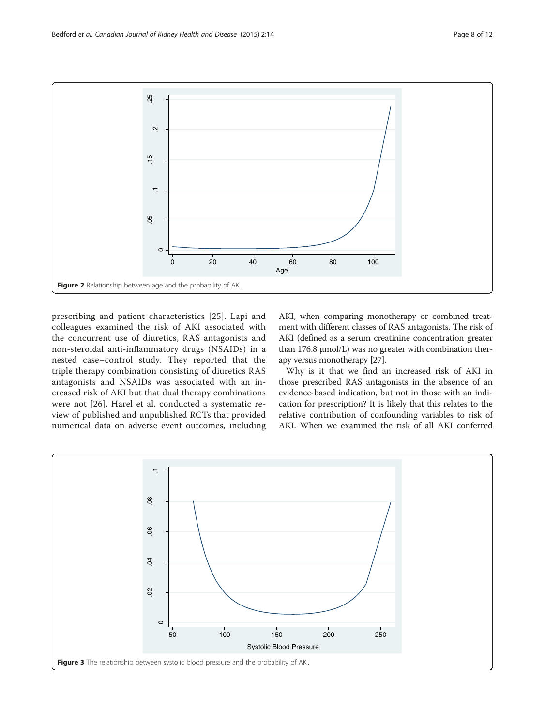<span id="page-7-0"></span>

prescribing and patient characteristics [[25\]](#page-10-0). Lapi and colleagues examined the risk of AKI associated with the concurrent use of diuretics, RAS antagonists and non-steroidal anti-inflammatory drugs (NSAIDs) in a nested case–control study. They reported that the triple therapy combination consisting of diuretics RAS antagonists and NSAIDs was associated with an increased risk of AKI but that dual therapy combinations were not [[26](#page-10-0)]. Harel et al. conducted a systematic review of published and unpublished RCTs that provided numerical data on adverse event outcomes, including AKI, when comparing monotherapy or combined treatment with different classes of RAS antagonists. The risk of AKI (defined as a serum creatinine concentration greater than 176.8 μmol/L) was no greater with combination therapy versus monotherapy [[27](#page-10-0)].

Why is it that we find an increased risk of AKI in those prescribed RAS antagonists in the absence of an evidence-based indication, but not in those with an indication for prescription? It is likely that this relates to the relative contribution of confounding variables to risk of AKI. When we examined the risk of all AKI conferred

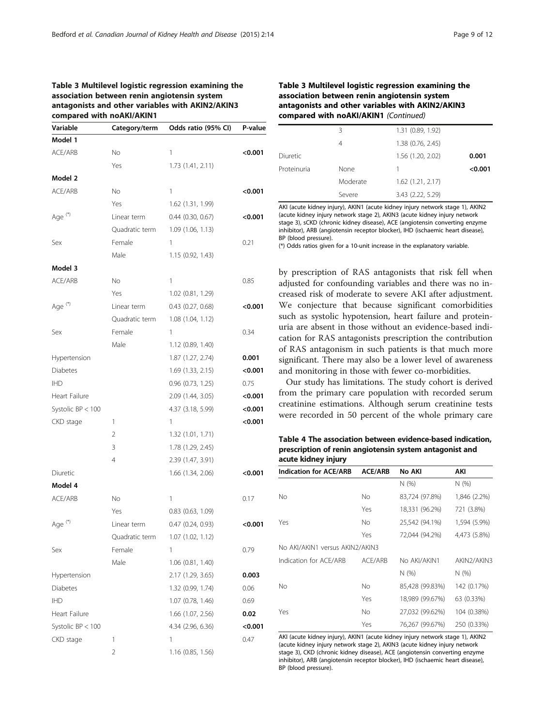# <span id="page-8-0"></span>Table 3 Multilevel logistic regression examining the association between renin angiotensin system antagonists and other variables with AKIN2/AKIN3 compared with noAKI/AKIN1

| Variable             | Category/term  | Odds ratio (95% CI)   | P-value |
|----------------------|----------------|-----------------------|---------|
| Model 1              |                |                       |         |
| ACE/ARB              | No             | 1                     | < 0.001 |
|                      | Yes            | 1.73 (1.41, 2.11)     |         |
| Model 2              |                |                       |         |
| ACE/ARB              | No             | 1                     | <0.001  |
|                      | Yes            | 1.62 (1.31, 1.99)     |         |
| Age <sup>(*)</sup>   | Linear term    | $0.44$ (0.30, 0.67)   | < 0.001 |
|                      | Quadratic term | 1.09(1.06, 1.13)      |         |
| Sex                  | Female         | 1                     | 0.21    |
|                      | Male           | 1.15 (0.92, 1.43)     |         |
| Model 3              |                |                       |         |
| ACE/ARB              | No             | 1                     | 0.85    |
|                      | Yes            | 1.02 (0.81, 1.29)     |         |
| Age <sup>(*)</sup>   | Linear term    | $0.43$ $(0.27, 0.68)$ | < 0.001 |
|                      | Quadratic term | 1.08(1.04, 1.12)      |         |
| Sex                  | Female         | 1                     | 0.34    |
|                      | Male           | 1.12(0.89, 1.40)      |         |
| Hypertension         |                | 1.87 (1.27, 2.74)     | 0.001   |
| <b>Diabetes</b>      |                | 1.69 (1.33, 2.15)     | < 0.001 |
| <b>IHD</b>           |                | $0.96$ $(0.73, 1.25)$ | 0.75    |
| Heart Failure        |                | 2.09 (1.44, 3.05)     | < 0.001 |
| Systolic $BP < 100$  |                | 4.37 (3.18, 5.99)     | < 0.001 |
| CKD stage            | 1              | 1                     | < 0.001 |
|                      | 2              | 1.32(1.01, 1.71)      |         |
|                      | 3              | 1.78 (1.29, 2.45)     |         |
|                      | 4              | 2.39 (1.47, 3.91)     |         |
| Diuretic             |                | 1.66 (1.34, 2.06)     | <0.001  |
| Model 4              |                |                       |         |
| ACE/ARB              | No             | 1                     | 0.17    |
|                      | Yes            | $0.83$ $(0.63, 1.09)$ |         |
| Age <sup>(*)</sup>   | Linear term    | 0.47 (0.24, 0.93)     | < 0.001 |
|                      | Quadratic term | 1.07 (1.02, 1.12)     |         |
| Sex                  | Female         | 1                     | 0.79    |
|                      | Male           | 1.06 (0.81, 1.40)     |         |
| Hypertension         |                | 2.17 (1.29, 3.65)     | 0.003   |
| Diabetes             |                | 1.32 (0.99, 1.74)     | 0.06    |
| <b>IHD</b>           |                | 1.07 (0.78, 1.46)     | 0.69    |
| <b>Heart Failure</b> |                | 1.66 (1.07, 2.56)     | 0.02    |
| Systolic $BP < 100$  |                | 4.34 (2.96, 6.36)     | <0.001  |
| CKD stage            | 1              | 1                     | 0.47    |
|                      | 2              | 1.16(0.85, 1.56)      |         |
|                      |                |                       |         |

# Table 3 Multilevel logistic regression examining the association between renin angiotensin system antagonists and other variables with AKIN2/AKIN3 compared with noAKI/AKIN1 (Continued)

|             | Β        | 1.31 (0.89, 1.92)     |         |
|-------------|----------|-----------------------|---------|
|             | 4        | 1.38 (0.76, 2.45)     |         |
| Diuretic    |          | 1.56 (1.20, 2.02)     | 0.001   |
| Proteinuria | None     |                       | < 0.001 |
|             | Moderate | $1.62$ $(1.21, 2.17)$ |         |
|             | Severe   | 3.43 (2.22, 5.29)     |         |

AKI (acute kidney injury), AKIN1 (acute kidney injury network stage 1), AKIN2 (acute kidney injury network stage 2), AKIN3 (acute kidney injury network stage 3), sCKD (chronic kidney disease), ACE (angiotensin converting enzyme inhibitor), ARB (angiotensin receptor blocker), IHD (ischaemic heart disease), BP (blood pressure).

(\*) Odds ratios given for a 10-unit increase in the explanatory variable.

by prescription of RAS antagonists that risk fell when adjusted for confounding variables and there was no increased risk of moderate to severe AKI after adjustment. We conjecture that because significant comorbidities such as systolic hypotension, heart failure and proteinuria are absent in those without an evidence-based indication for RAS antagonists prescription the contribution of RAS antagonism in such patients is that much more significant. There may also be a lower level of awareness and monitoring in those with fewer co-morbidities.

Our study has limitations. The study cohort is derived from the primary care population with recorded serum creatinine estimations. Although serum creatinine tests were recorded in 50 percent of the whole primary care

Table 4 The association between evidence-based indication, prescription of renin angiotensin system antagonist and acute kidney injury

| <b>Indication for ACE/ARB</b>   | <b>ACE/ARB</b> | No AKI          | AKI                                  |
|---------------------------------|----------------|-----------------|--------------------------------------|
|                                 |                | N(%)            | N (%)                                |
| Nο                              | No.            | 83,724 (97.8%)  | 1,846 (2.2%)                         |
|                                 | Yes            | 18,331 (96.2%)  | 721 (3.8%)                           |
| Yes                             | No             | 25,542 (94.1%)  | 1,594 (5.9%)                         |
|                                 | Yes            | 72.044 (94.2%)  | 4,473 (5.8%)                         |
| No AKI/AKIN1 versus AKIN2/AKIN3 |                |                 |                                      |
| Indication for ACF/ARB          | ACF/ARB        | No AKI/AKIN1    | AKIN <sub>2</sub> /AKIN <sub>3</sub> |
|                                 |                | N(%)            | N (%)                                |
| No                              | No             | 85,428 (99.83%) | 142 (0.17%)                          |
|                                 | Yes            | 18,989 (99.67%) | 63 (0.33%)                           |
| Yes                             | No             | 27,032 (99.62%) | 104 (0.38%)                          |
|                                 | Yes            | 76,267 (99.67%) | 250 (0.33%)                          |
|                                 |                |                 |                                      |

AKI (acute kidney injury), AKIN1 (acute kidney injury network stage 1), AKIN2 (acute kidney injury network stage 2), AKIN3 (acute kidney injury network stage 3), CKD (chronic kidney disease), ACE (angiotensin converting enzyme inhibitor), ARB (angiotensin receptor blocker), IHD (ischaemic heart disease), BP (blood pressure).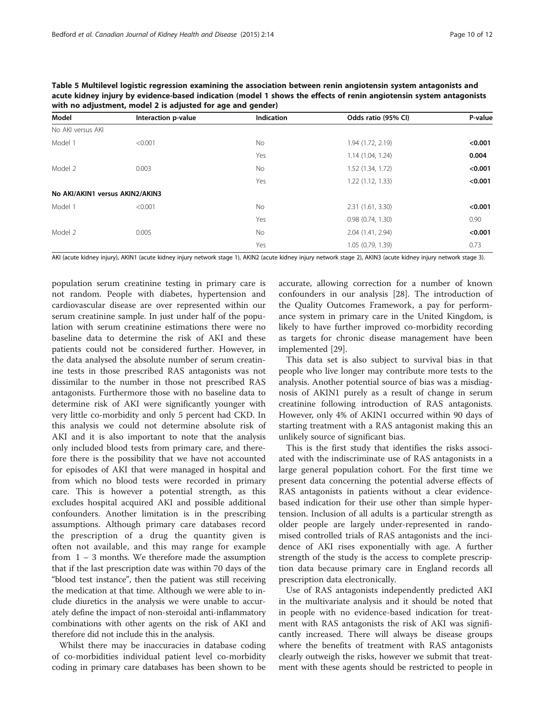| Model                           | Interaction p-value | <b>Indication</b> | Odds ratio (95% CI) | P-value |
|---------------------------------|---------------------|-------------------|---------------------|---------|
| No AKI versus AKI               |                     |                   |                     |         |
| Model 1                         | < 0.001             | No                | 1.94 (1.72, 2.19)   | < 0.001 |
|                                 |                     | Yes               | 1.14(1.04, 1.24)    | 0.004   |
| Model 2                         | 0.003               | No.               | 1.52 (1.34, 1.72)   | < 0.001 |
|                                 |                     | Yes               | 1.22(1.12, 1.33)    | < 0.001 |
| No AKI/AKIN1 versus AKIN2/AKIN3 |                     |                   |                     |         |
| Model 1                         | < 0.001             | No.               | 2.31(1.61, 3.30)    | < 0.001 |
|                                 |                     | Yes               | 0.98(0.74, 1.30)    | 0.90    |
| Model 2                         | 0.005               | No.               | 2.04 (1.41, 2.94)   | < 0.001 |
|                                 |                     | Yes               | 1.05 (0.79, 1.39)   | 0.73    |

<span id="page-9-0"></span>Table 5 Multilevel logistic regression examining the association between renin angiotensin system antagonists and acute kidney injury by evidence-based indication (model 1 shows the effects of renin angiotensin system antagonists with no adjustment, model 2 is adjusted for age and gender)

AKI (acute kidney injury), AKIN1 (acute kidney injury network stage 1), AKIN2 (acute kidney injury network stage 2), AKIN3 (acute kidney injury network stage 3).

population serum creatinine testing in primary care is not random. People with diabetes, hypertension and cardiovascular disease are over represented within our serum creatinine sample. In just under half of the population with serum creatinine estimations there were no baseline data to determine the risk of AKI and these patients could not be considered further. However, in the data analysed the absolute number of serum creatinine tests in those prescribed RAS antagonists was not dissimilar to the number in those not prescribed RAS antagonists. Furthermore those with no baseline data to determine risk of AKI were significantly younger with very little co-morbidity and only 5 percent had CKD. In this analysis we could not determine absolute risk of AKI and it is also important to note that the analysis only included blood tests from primary care, and therefore there is the possibility that we have not accounted for episodes of AKI that were managed in hospital and from which no blood tests were recorded in primary care. This is however a potential strength, as this excludes hospital acquired AKI and possible additional confounders. Another limitation is in the prescribing assumptions. Although primary care databases record the prescription of a drug the quantity given is often not available, and this may range for example from 1 – 3 months. We therefore made the assumption that if the last prescription date was within 70 days of the "blood test instance", then the patient was still receiving the medication at that time. Although we were able to include diuretics in the analysis we were unable to accurately define the impact of non-steroidal anti-inflammatory combinations with other agents on the risk of AKI and therefore did not include this in the analysis.

Whilst there may be inaccuracies in database coding of co-morbidities individual patient level co-morbidity coding in primary care databases has been shown to be

accurate, allowing correction for a number of known confounders in our analysis [[28](#page-11-0)]. The introduction of the Quality Outcomes Framework, a pay for performance system in primary care in the United Kingdom, is likely to have further improved co-morbidity recording as targets for chronic disease management have been implemented [[29](#page-11-0)].

This data set is also subject to survival bias in that people who live longer may contribute more tests to the analysis. Another potential source of bias was a misdiagnosis of AKIN1 purely as a result of change in serum creatinine following introduction of RAS antagonists. However, only 4% of AKIN1 occurred within 90 days of starting treatment with a RAS antagonist making this an unlikely source of significant bias.

This is the first study that identifies the risks associated with the indiscriminate use of RAS antagonists in a large general population cohort. For the first time we present data concerning the potential adverse effects of RAS antagonists in patients without a clear evidencebased indication for their use other than simple hypertension. Inclusion of all adults is a particular strength as older people are largely under-represented in randomised controlled trials of RAS antagonists and the incidence of AKI rises exponentially with age. A further strength of the study is the access to complete prescription data because primary care in England records all prescription data electronically.

Use of RAS antagonists independently predicted AKI in the multivariate analysis and it should be noted that in people with no evidence-based indication for treatment with RAS antagonists the risk of AKI was significantly increased. There will always be disease groups where the benefits of treatment with RAS antagonists clearly outweigh the risks, however we submit that treatment with these agents should be restricted to people in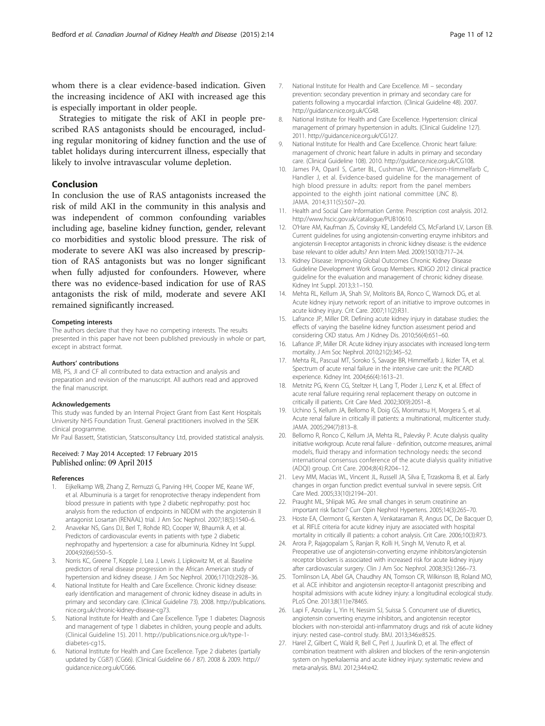<span id="page-10-0"></span>whom there is a clear evidence-based indication. Given the increasing incidence of AKI with increased age this is especially important in older people.

Strategies to mitigate the risk of AKI in people prescribed RAS antagonists should be encouraged, including regular monitoring of kidney function and the use of tablet holidays during intercurrent illness, especially that likely to involve intravascular volume depletion.

# Conclusion

In conclusion the use of RAS antagonists increased the risk of mild AKI in the community in this analysis and was independent of common confounding variables including age, baseline kidney function, gender, relevant co morbidities and systolic blood pressure. The risk of moderate to severe AKI was also increased by prescription of RAS antagonists but was no longer significant when fully adjusted for confounders. However, where there was no evidence-based indication for use of RAS antagonists the risk of mild, moderate and severe AKI remained significantly increased.

#### Competing interests

The authors declare that they have no competing interests. The results presented in this paper have not been published previously in whole or part, except in abstract format.

#### Authors' contributions

MB, PS, JI and CF all contributed to data extraction and analysis and preparation and revision of the manuscript. All authors read and approved the final manuscript.

#### Acknowledgements

This study was funded by an Internal Project Grant from East Kent Hospitals University NHS Foundation Trust. General practitioners involved in the SEIK clinical programme.

Mr Paul Bassett, Statistician, Statsconsultancy Ltd, provided statistical analysis.

## Received: 7 May 2014 Accepted: 17 February 2015 Published online: 09 April 2015

#### References

- 1. Eijkelkamp WB, Zhang Z, Remuzzi G, Parving HH, Cooper ME, Keane WF, et al. Albuminuria is a target for renoprotective therapy independent from blood pressure in patients with type 2 diabetic nephropathy: post hoc analysis from the reduction of endpoints in NIDDM with the angiotensin II antagonist Losartan (RENAAL) trial. J Am Soc Nephrol. 2007;18(5):1540–6.
- 2. Anavekar NS, Gans DJ, Berl T, Rohde RD, Cooper W, Bhaumik A, et al. Predictors of cardiovascular events in patients with type 2 diabetic nephropathy and hypertension: a case for albuminuria. Kidney Int Suppl. 2004;92(66):S50–5.
- Norris KC, Greene T, Kopple J, Lea J, Lewis J, Lipkowitz M, et al. Baseline predictors of renal disease progression in the African American study of hypertension and kidney disease. J Am Soc Nephrol. 2006;17(10):2928–36.
- 4. National Institute for Health and Care Excellence. Chronic kidney disease: early identification and management of chronic kidney disease in adults in primary and secondary care. (Clinical Guideline 73). 2008. [http://publications.](http://publications.nice.org.uk/chronic-kidney-disease-cg73) [nice.org.uk/chronic-kidney-disease-cg73.](http://publications.nice.org.uk/chronic-kidney-disease-cg73)
- 5. National Institute for Health and Care Excellence. Type 1 diabetes: Diagnosis and management of type 1 diabetes in children, young people and adults. (Clinical Guideline 15). 2011. [http://publications.nice.org.uk/type-1](http://publications.nice.org.uk/type-1-diabetes-cg15) [diabetes-cg15](http://publications.nice.org.uk/type-1-diabetes-cg15).
- 6. National Institute for Health and Care Excellence. Type 2 diabetes (partially updated by CG87) (CG66). (Clinical Guideline 66 / 87). 2008 & 2009. [http://](http://guidance.nice.org.uk/CG66) [guidance.nice.org.uk/CG66.](http://guidance.nice.org.uk/CG66)
- 7. National Institute for Health and Care Excellence. MI secondary prevention: secondary prevention in primary and secondary care for patients following a myocardial infarction. (Clinical Guideline 48). 2007. [http://guidance.nice.org.uk/CG48.](http://guidance.nice.org.uk/CG48)
- 8. National Institute for Health and Care Excellence. Hypertension: clinical management of primary hypertension in adults. (Clinical Guideline 127). 2011. [http://guidance.nice.org.uk/CG127.](http://guidance.nice.org.uk/CG127)
- 9. National Institute for Health and Care Excellence. Chronic heart failure: management of chronic heart failure in adults in primary and secondary care. (Clinical Guideline 108). 2010. [http://guidance.nice.org.uk/CG108.](http://guidance.nice.org.uk/CG108)
- 10. James PA, Oparil S, Carter BL, Cushman WC, Dennison-Himmelfarb C, Handler J, et al. Evidence-based guideline for the management of high blood pressure in adults: report from the panel members appointed to the eighth joint national committee (JNC 8). JAMA. 2014;311(5):507–20.
- 11. Health and Social Care Information Centre. Prescription cost analysis. 2012. [http://www.hscic.gov.uk/catalogue/PUB10610.](http://www.hscic.gov.uk/catalogue/PUB10610)
- 12. O'Hare AM, Kaufman JS, Covinsky KE, Landefeld CS, McFarland LV, Larson EB. Current guidelines for using angiotensin-converting enzyme inhibitors and angiotensin II-receptor antagonists in chronic kidney disease: is the evidence base relevant to older adults? Ann Intern Med. 2009;150(10):717–24.
- 13. Kidney Disease: Improving Global Outcomes Chronic Kidney Disease Guideline Development Work Group Members. KDIGO 2012 clinical practice guideline for the evaluation and management of chronic kidney disease. Kidney Int Suppl. 2013;3:1–150.
- 14. Mehta RL, Kellum JA, Shah SV, Molitoris BA, Ronco C, Warnock DG, et al. Acute kidney injury network: report of an initiative to improve outcomes in acute kidney injury. Crit Care. 2007;11(2):R31.
- 15. Lafrance JP, Miller DR. Defining acute kidney injury in database studies: the effects of varying the baseline kidney function assessment period and considering CKD status. Am J Kidney Dis. 2010;56(4):651–60.
- 16. Lafrance JP, Miller DR. Acute kidney injury associates with increased long-term mortality. J Am Soc Nephrol. 2010;21(2):345–52.
- 17. Mehta RL, Pascual MT, Soroko S, Savage BR, Himmelfarb J, Ikizler TA, et al. Spectrum of acute renal failure in the intensive care unit: the PICARD experience. Kidney Int. 2004;66(4):1613–21.
- 18. Metnitz PG, Krenn CG, Steltzer H, Lang T, Ploder J, Lenz K, et al. Effect of acute renal failure requiring renal replacement therapy on outcome in critically ill patients. Crit Care Med. 2002;30(9):2051–8.
- 19. Uchino S, Kellum JA, Bellomo R, Doig GS, Morimatsu H, Morgera S, et al. Acute renal failure in critically ill patients: a multinational, multicenter study. JAMA. 2005;294(7):813–8.
- 20. Bellomo R, Ronco C, Kellum JA, Mehta RL, Palevsky P. Acute dialysis quality initiative workgroup. Acute renal failure - definition, outcome measures, animal models, fluid therapy and information technology needs: the second international consensus conference of the acute dialysis quality initiative (ADQI) group. Crit Care. 2004;8(4):R204–12.
- 21. Levy MM, Macias WL, Vincent JL, Russell JA, Silva E, Trzaskoma B, et al. Early changes in organ function predict eventual survival in severe sepsis. Crit Care Med. 2005;33(10):2194–201.
- 22. Praught ML, Shlipak MG. Are small changes in serum creatinine an important risk factor? Curr Opin Nephrol Hypertens. 2005;14(3):265–70.
- 23. Hoste EA, Clermont G, Kersten A, Venkataraman R, Angus DC, De Bacquer D, et al. RIFLE criteria for acute kidney injury are associated with hospital mortality in critically ill patients: a cohort analysis. Crit Care. 2006;10(3):R73.
- 24. Arora P, Rajagopalam S, Ranjan R, Kolli H, Singh M, Venuto R, et al. Preoperative use of angiotensin-converting enzyme inhibitors/angiotensin receptor blockers is associated with increased risk for acute kidney injury after cardiovascular surgery. Clin J Am Soc Nephrol. 2008;3(5):1266–73.
- 25. Tomlinson LA, Abel GA, Chaudhry AN, Tomson CR, Wilkinson IB, Roland MO, et al. ACE inhibitor and angiotensin receptor-II antagonist prescribing and hospital admissions with acute kidney injury: a longitudinal ecological study. PLoS One. 2013;8(11):e78465.
- 26. Lapi F, Azoulay L, Yin H, Nessim SJ, Suissa S. Concurrent use of diuretics, angiotensin converting enzyme inhibitors, and angiotensin receptor blockers with non-steroidal anti-inflammatory drugs and risk of acute kidney injury: nested case–control study. BMJ. 2013;346:e8525.
- 27. Harel Z, Gilbert C, Wald R, Bell C, Perl J, Juurlink D, et al. The effect of combination treatment with aliskiren and blockers of the renin-angiotensin system on hyperkalaemia and acute kidney injury: systematic review and meta-analysis. BMJ. 2012;344:e42.